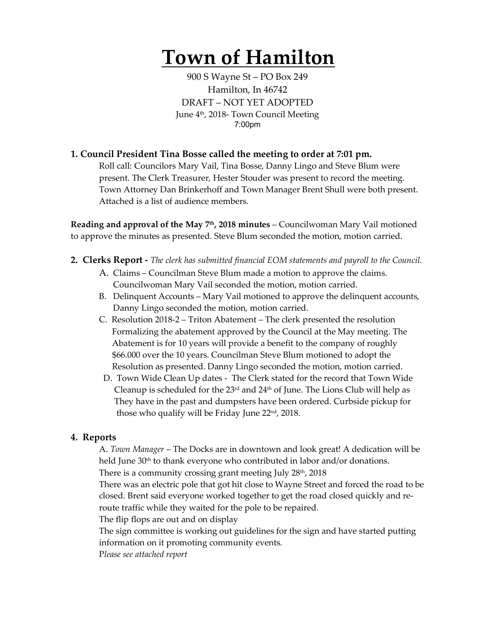# **Town of Hamilton**

900 S Wayne St – PO Box 249 Hamilton, In 46742 DRAFT – NOT YET ADOPTED June 4<sup>th</sup>, 2018- Town Council Meeting 7:00pm

## **1. Council President Tina Bosse called the meeting to order at 7:01 pm.**

Roll call: Councilors Mary Vail, Tina Bosse, Danny Lingo and Steve Blum were present. The Clerk Treasurer, Hester Stouder was present to record the meeting. Town Attorney Dan Brinkerhoff and Town Manager Brent Shull were both present. Attached is a list of audience members.

**Reading and approval of the May 7th, 2018 minutes** – Councilwoman Mary Vail motioned to approve the minutes as presented. Steve Blum seconded the motion, motion carried.

- **2. Clerks Report -** *The clerk has submitted financial EOM statements and payroll to the Council.* 
	- A. Claims Councilman Steve Blum made a motion to approve the claims. Councilwoman Mary Vail seconded the motion, motion carried.
	- B. Delinquent Accounts Mary Vail motioned to approve the delinquent accounts, Danny Lingo seconded the motion, motion carried.
	- C. Resolution 2018-2 Triton Abatement The clerk presented the resolution Formalizing the abatement approved by the Council at the May meeting. The Abatement is for 10 years will provide a benefit to the company of roughly \$66.000 over the 10 years. Councilman Steve Blum motioned to adopt the Resolution as presented. Danny Lingo seconded the motion, motion carried.
	- D. Town Wide Clean Up dates The Clerk stated for the record that Town Wide Cleanup is scheduled for the  $23<sup>rd</sup>$  and  $24<sup>th</sup>$  of June. The Lions Club will help as They have in the past and dumpsters have been ordered. Curbside pickup for those who qualify will be Friday June  $22<sup>nd</sup>$ , 2018.

## **4. Reports**

A. *Town Manager* – The Docks are in downtown and look great! A dedication will be held June 30<sup>th</sup> to thank everyone who contributed in labor and/or donations. There is a community crossing grant meeting July 28th, 2018

There was an electric pole that got hit close to Wayne Street and forced the road to be closed. Brent said everyone worked together to get the road closed quickly and reroute traffic while they waited for the pole to be repaired.

The flip flops are out and on display

The sign committee is working out guidelines for the sign and have started putting information on it promoting community events.

P*lease see attached report*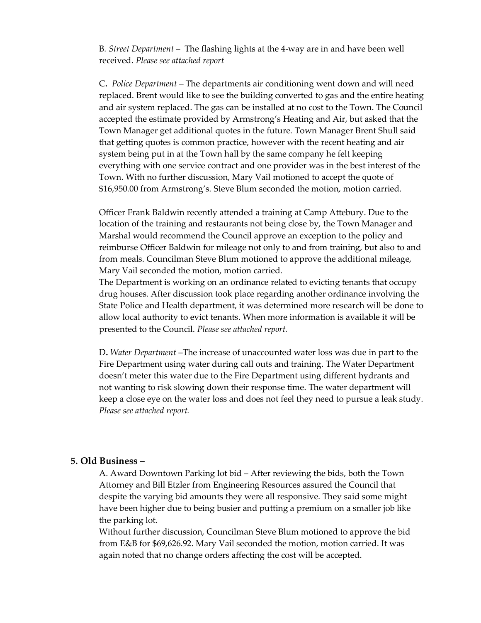B*. Street Department* – The flashing lights at the 4-way are in and have been well received. *Please see attached report*

C**.** *Police Department –* The departments air conditioning went down and will need replaced. Brent would like to see the building converted to gas and the entire heating and air system replaced. The gas can be installed at no cost to the Town. The Council accepted the estimate provided by Armstrong's Heating and Air, but asked that the Town Manager get additional quotes in the future. Town Manager Brent Shull said that getting quotes is common practice, however with the recent heating and air system being put in at the Town hall by the same company he felt keeping everything with one service contract and one provider was in the best interest of the Town. With no further discussion, Mary Vail motioned to accept the quote of \$16,950.00 from Armstrong's. Steve Blum seconded the motion, motion carried.

Officer Frank Baldwin recently attended a training at Camp Attebury. Due to the location of the training and restaurants not being close by, the Town Manager and Marshal would recommend the Council approve an exception to the policy and reimburse Officer Baldwin for mileage not only to and from training, but also to and from meals. Councilman Steve Blum motioned to approve the additional mileage, Mary Vail seconded the motion, motion carried.

The Department is working on an ordinance related to evicting tenants that occupy drug houses. After discussion took place regarding another ordinance involving the State Police and Health department, it was determined more research will be done to allow local authority to evict tenants. When more information is available it will be presented to the Council. *Please see attached report.*

D**.** *Water Department* –The increase of unaccounted water loss was due in part to the Fire Department using water during call outs and training. The Water Department doesn't meter this water due to the Fire Department using different hydrants and not wanting to risk slowing down their response time. The water department will keep a close eye on the water loss and does not feel they need to pursue a leak study. *Please see attached report.* 

### **5. Old Business –**

A. Award Downtown Parking lot bid – After reviewing the bids, both the Town Attorney and Bill Etzler from Engineering Resources assured the Council that despite the varying bid amounts they were all responsive. They said some might have been higher due to being busier and putting a premium on a smaller job like the parking lot.

Without further discussion, Councilman Steve Blum motioned to approve the bid from E&B for \$69,626.92. Mary Vail seconded the motion, motion carried. It was again noted that no change orders affecting the cost will be accepted.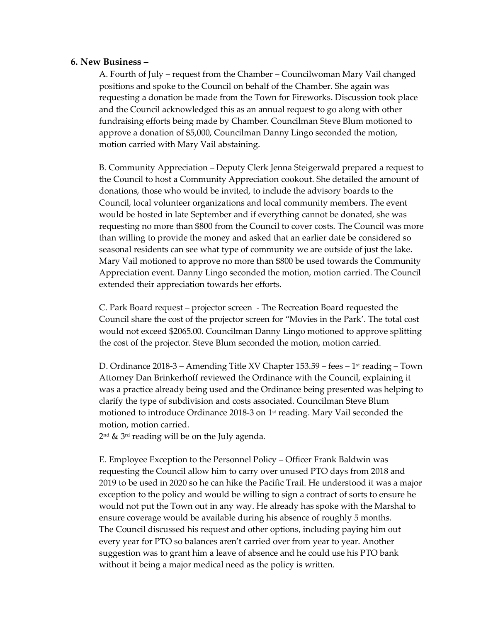### **6. New Business –**

A. Fourth of July – request from the Chamber – Councilwoman Mary Vail changed positions and spoke to the Council on behalf of the Chamber. She again was requesting a donation be made from the Town for Fireworks. Discussion took place and the Council acknowledged this as an annual request to go along with other fundraising efforts being made by Chamber. Councilman Steve Blum motioned to approve a donation of \$5,000, Councilman Danny Lingo seconded the motion, motion carried with Mary Vail abstaining.

B. Community Appreciation – Deputy Clerk Jenna Steigerwald prepared a request to the Council to host a Community Appreciation cookout. She detailed the amount of donations, those who would be invited, to include the advisory boards to the Council, local volunteer organizations and local community members. The event would be hosted in late September and if everything cannot be donated, she was requesting no more than \$800 from the Council to cover costs. The Council was more than willing to provide the money and asked that an earlier date be considered so seasonal residents can see what type of community we are outside of just the lake. Mary Vail motioned to approve no more than \$800 be used towards the Community Appreciation event. Danny Lingo seconded the motion, motion carried. The Council extended their appreciation towards her efforts.

C. Park Board request – projector screen - The Recreation Board requested the Council share the cost of the projector screen for "Movies in the Park'. The total cost would not exceed \$2065.00. Councilman Danny Lingo motioned to approve splitting the cost of the projector. Steve Blum seconded the motion, motion carried.

D. Ordinance 2018-3 – Amending Title XV Chapter 153.59 – fees – 1st reading – Town Attorney Dan Brinkerhoff reviewed the Ordinance with the Council, explaining it was a practice already being used and the Ordinance being presented was helping to clarify the type of subdivision and costs associated. Councilman Steve Blum motioned to introduce Ordinance 2018-3 on  $1<sup>st</sup>$  reading. Mary Vail seconded the motion, motion carried.

 $2<sup>nd</sup>$  &  $3<sup>rd</sup>$  reading will be on the July agenda.

E. Employee Exception to the Personnel Policy – Officer Frank Baldwin was requesting the Council allow him to carry over unused PTO days from 2018 and 2019 to be used in 2020 so he can hike the Pacific Trail. He understood it was a major exception to the policy and would be willing to sign a contract of sorts to ensure he would not put the Town out in any way. He already has spoke with the Marshal to ensure coverage would be available during his absence of roughly 5 months. The Council discussed his request and other options, including paying him out every year for PTO so balances aren't carried over from year to year. Another suggestion was to grant him a leave of absence and he could use his PTO bank without it being a major medical need as the policy is written.